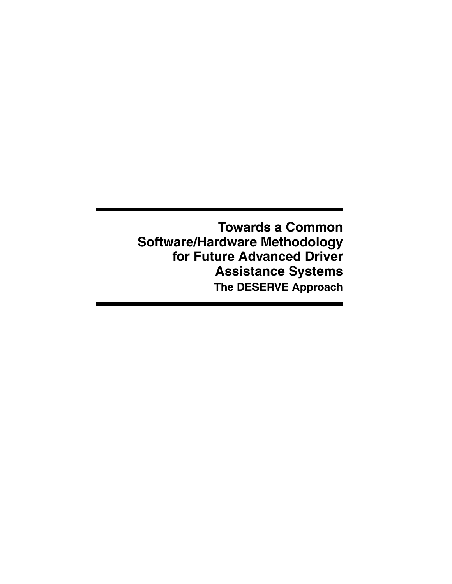**Towards a Common Software/Hardware Methodology for Future Advanced Driver Assistance Systems The DESERVE Approach**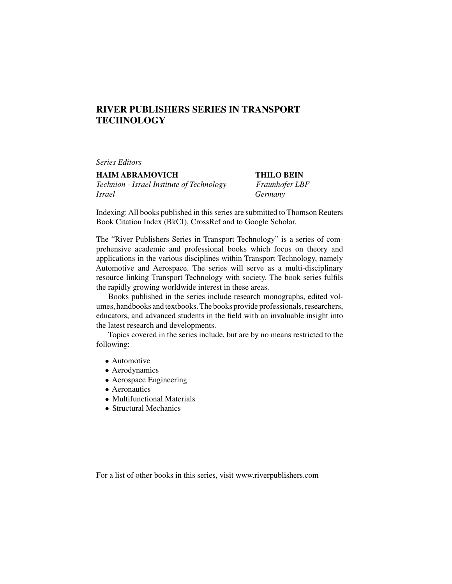## **RIVER PUBLISHERS SERIES IN TRANSPORT TECHNOLOGY**

*Series Editors*

**HAIM ABRAMOVICH THILO BEIN** *Technion - Israel Institute of Technology Fraunhofer LBF Israel Germany*

Indexing: All books published in this series are submitted to Thomson Reuters Book Citation Index (BkCI), CrossRef and to Google Scholar.

The "River Publishers Series in Transport Technology" is a series of comprehensive academic and professional books which focus on theory and applications in the various disciplines within Transport Technology, namely Automotive and Aerospace. The series will serve as a multi-disciplinary resource linking Transport Technology with society. The book series fulfils the rapidly growing worldwide interest in these areas.

Books published in the series include research monographs, edited volumes, handbooks and textbooks.The books provide professionals, researchers, educators, and advanced students in the field with an invaluable insight into the latest research and developments.

Topics covered in the series include, but are by no means restricted to the following:

- Automotive
- Aerodynamics
- Aerospace Engineering
- Aeronautics
- Multifunctional Materials
- Structural Mechanics

For a list of other books in this series, visit www.riverpublishers.com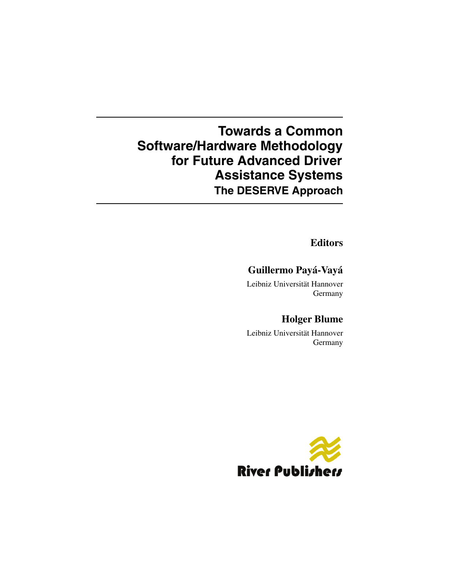# **Towards a Common Software/Hardware Methodology for Future Advanced Driver Assistance Systems The DESERVE Approach**

**Editors**

# **Guillermo Payá-Vayá**

Leibniz Universität Hannover Germany

# **Holger Blume**

Leibniz Universität Hannover Germany

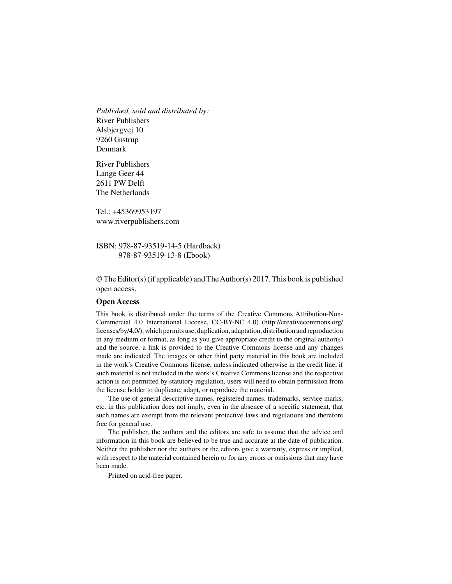*Published, sold and distributed by:* River Publishers Alsbjergvej 10 9260 Gistrup Denmark

River Publishers Lange Geer 44 2611 PW Delft The Netherlands

Tel.: +45369953197 www.riverpublishers.com

ISBN: 978-87-93519-14-5 (Hardback) 978-87-93519-13-8 (Ebook)

© The Editor(s) (if applicable) and TheAuthor(s) 2017. This book is published open access.

#### **Open Access**

This book is distributed under the terms of the Creative Commons Attribution-Non-Commercial 4.0 International License, CC-BY-NC 4.0) (http://creativecommons.org/ licenses/by/4.0/), which permits use, duplication, adaptation, distribution and reproduction in any medium or format, as long as you give appropriate credit to the original author(s) and the source, a link is provided to the Creative Commons license and any changes made are indicated. The images or other third party material in this book are included in the work's Creative Commons license, unless indicated otherwise in the credit line; if such material is not included in the work's Creative Commons license and the respective action is not permitted by statutory regulation, users will need to obtain permission from the license holder to duplicate, adapt, or reproduce the material.

The use of general descriptive names, registered names, trademarks, service marks, etc. in this publication does not imply, even in the absence of a specific statement, that such names are exempt from the relevant protective laws and regulations and therefore free for general use.

The publisher, the authors and the editors are safe to assume that the advice and information in this book are believed to be true and accurate at the date of publication. Neither the publisher nor the authors or the editors give a warranty, express or implied, with respect to the material contained herein or for any errors or omissions that may have been made.

Printed on acid-free paper.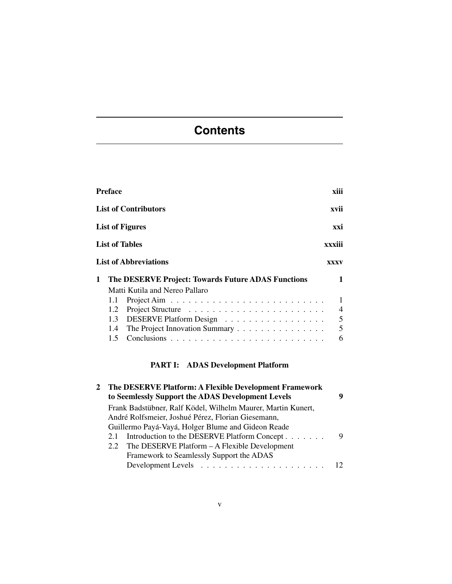# **Contents**

| <b>Preface</b>         | xiii                                                                                                                      |
|------------------------|---------------------------------------------------------------------------------------------------------------------------|
|                        | <b>List of Contributors</b><br>xvii                                                                                       |
|                        | <b>List of Figures</b><br>xxi                                                                                             |
| <b>List of Tables</b>  | xxxiii                                                                                                                    |
|                        | <b>List of Abbreviations</b><br><b>XXXV</b>                                                                               |
| 1<br>1.1<br>1.2<br>1.3 | The DESERVE Project: Towards Future ADAS Functions<br>Matti Kutila and Nereo Pallaro<br>4<br>5<br>DESERVE Platform Design |
| $1.4^{\circ}$<br>1.5   | 5<br>The Project Innovation Summary<br>6                                                                                  |

# **PART I: ADAS Development Platform**

| The DESERVE Platform: A Flexible Development Framework<br>to Seemlessly Support the ADAS Development Levels |   |
|-------------------------------------------------------------------------------------------------------------|---|
| Frank Badstübner, Ralf Ködel, Wilhelm Maurer, Martin Kunert,                                                |   |
| André Rolfsmeier, Joshué Pérez, Florian Giesemann,                                                          |   |
| Guillermo Payá-Vayá, Holger Blume and Gideon Reade                                                          |   |
| Introduction to the DESERVE Platform Concept<br>2.1                                                         | 9 |
| The DESERVE Platform – A Flexible Development<br>2.2                                                        |   |
| Framework to Seamlessly Support the ADAS                                                                    |   |
|                                                                                                             |   |
|                                                                                                             |   |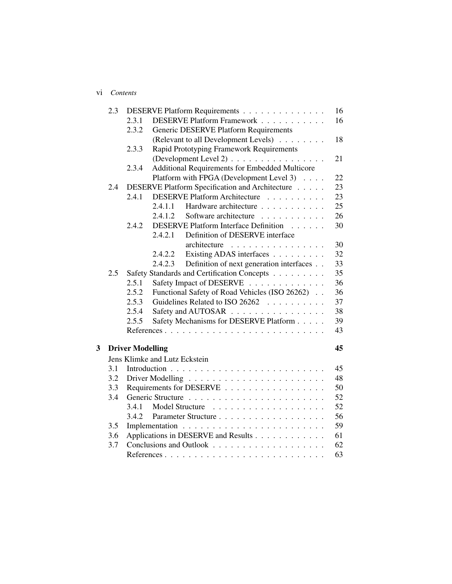#### vi *Contents*

|   | 2.3 |                         | DESERVE Platform Requirements                                                 | 16 |
|---|-----|-------------------------|-------------------------------------------------------------------------------|----|
|   |     | 2.3.1                   | DESERVE Platform Framework                                                    | 16 |
|   |     | 2.3.2                   | <b>Generic DESERVE Platform Requirements</b>                                  |    |
|   |     |                         | (Relevant to all Development Levels)                                          | 18 |
|   |     | 2.3.3                   | Rapid Prototyping Framework Requirements                                      |    |
|   |     |                         | (Development Level 2)                                                         | 21 |
|   |     | 2.3.4                   | Additional Requirements for Embedded Multicore                                |    |
|   |     |                         | Platform with FPGA (Development Level 3)                                      | 22 |
|   | 2.4 |                         | DESERVE Platform Specification and Architecture                               | 23 |
|   |     | 2.4.1                   | <b>DESERVE Platform Architecture</b><br>.                                     | 23 |
|   |     |                         | Hardware architecture<br>2.4.1.1                                              | 25 |
|   |     |                         | 2.4.1.2<br>Software architecture<br>.                                         | 26 |
|   |     | 2.4.2                   | DESERVE Platform Interface Definition                                         | 30 |
|   |     |                         | 2.4.2.1<br>Definition of DESERVE interface                                    |    |
|   |     |                         | architecture<br>. The second contract is a second contract of $\mathcal{L}_1$ | 30 |
|   |     |                         | Existing ADAS interfaces<br>2.4.2.2                                           | 32 |
|   |     |                         | 2.4.2.3<br>Definition of next generation interfaces                           | 33 |
|   | 2.5 |                         | Safety Standards and Certification Concepts                                   | 35 |
|   |     | 2.5.1                   | Safety Impact of DESERVE                                                      | 36 |
|   |     | 2.5.2                   | Functional Safety of Road Vehicles (ISO 26262)                                | 36 |
|   |     | 2.5.3                   | Guidelines Related to ISO 26262                                               | 37 |
|   |     | 2.5.4                   | Safety and AUTOSAR                                                            | 38 |
|   |     | 2.5.5                   | Safety Mechanisms for DESERVE Platform                                        | 39 |
|   |     |                         |                                                                               | 43 |
| 3 |     | <b>Driver Modelling</b> |                                                                               | 45 |
|   |     |                         | Jens Klimke and Lutz Eckstein                                                 |    |
|   | 3.1 |                         |                                                                               | 45 |
|   | 3.2 |                         |                                                                               | 48 |
|   | 3.3 |                         | Requirements for DESERVE                                                      | 50 |
|   | 3.4 |                         |                                                                               | 52 |
|   |     | 3.4.1                   |                                                                               | 52 |
|   |     | 3.4.2                   |                                                                               | 56 |
|   | 3.5 |                         |                                                                               | 59 |
|   | 3.6 |                         | Applications in DESERVE and Results                                           | 61 |
|   | 3.7 |                         |                                                                               | 62 |
|   |     |                         |                                                                               | 63 |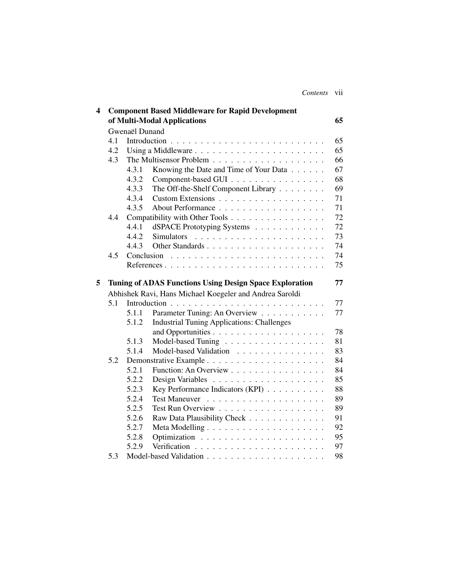| Contents | V11 |
|----------|-----|
|          |     |

| 4 |     |                | <b>Component Based Middleware for Rapid Development</b>        |    |
|---|-----|----------------|----------------------------------------------------------------|----|
|   |     |                | of Multi-Modal Applications                                    | 65 |
|   |     | Gwenaël Dunand |                                                                |    |
|   | 4.1 |                |                                                                | 65 |
|   | 4.2 |                |                                                                | 65 |
|   | 4.3 |                |                                                                | 66 |
|   |     | 4.3.1          | Knowing the Date and Time of Your Data                         | 67 |
|   |     | 4.3.2          | Component-based GUI                                            | 68 |
|   |     | 4.3.3          | The Off-the-Shelf Component Library                            | 69 |
|   |     | 4.3.4          | Custom Extensions                                              | 71 |
|   |     | 4.3.5          |                                                                | 71 |
|   | 4.4 |                | Compatibility with Other Tools                                 | 72 |
|   |     | 4.4.1          | dSPACE Prototyping Systems                                     | 72 |
|   |     | 4.4.2          | Simulators                                                     | 73 |
|   |     | 4.4.3          |                                                                | 74 |
|   | 4.5 |                |                                                                | 74 |
|   |     |                | References                                                     | 75 |
| 5 |     |                | <b>Tuning of ADAS Functions Using Design Space Exploration</b> | 77 |
|   |     |                | Abhishek Ravi, Hans Michael Koegeler and Andrea Saroldi        |    |
|   | 5.1 |                |                                                                | 77 |
|   |     | 5.1.1          | Parameter Tuning: An Overview                                  | 77 |
|   |     | 5.1.2          | <b>Industrial Tuning Applications: Challenges</b>              |    |
|   |     |                |                                                                | 78 |
|   |     | 5.1.3          | Model-based Tuning                                             | 81 |
|   |     | 5.1.4          | Model-based Validation                                         | 83 |
|   | 5.2 |                |                                                                | 84 |
|   |     | 5.2.1          | Function: An Overview                                          | 84 |
|   |     | 5.2.2          |                                                                | 85 |
|   |     | 5.2.3          | Key Performance Indicators (KPI)                               | 88 |
|   |     | 5.2.4          |                                                                | 89 |
|   |     | 5.2.5          | Test Run Overview                                              | 89 |
|   |     | 5.2.6          | Raw Data Plausibility Check                                    | 91 |
|   |     | 5.2.7          |                                                                | 92 |
|   |     | 5.2.8          |                                                                | 95 |
|   |     | 5.2.9          |                                                                | 97 |
|   | 5.3 |                |                                                                | 98 |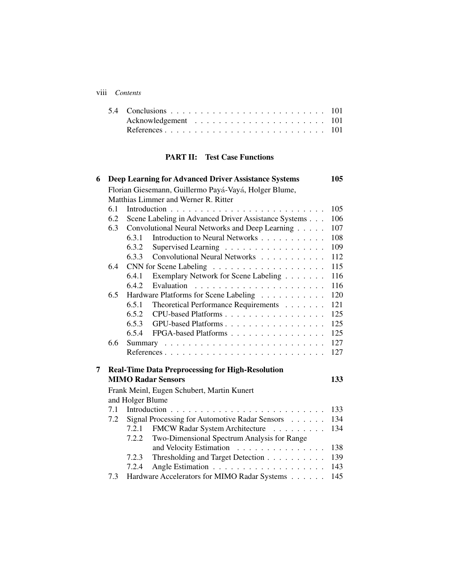#### viii *Contents*

### **PART II: Test Case Functions**

| 6 |     | <b>Deep Learning for Advanced Driver Assistance Systems</b> | 105 |
|---|-----|-------------------------------------------------------------|-----|
|   |     | Florian Giesemann, Guillermo Payá-Vayá, Holger Blume,       |     |
|   |     | Matthias Limmer and Werner R. Ritter                        |     |
|   | 6.1 |                                                             | 105 |
|   | 6.2 | Scene Labeling in Advanced Driver Assistance Systems        | 106 |
|   | 6.3 | Convolutional Neural Networks and Deep Learning             | 107 |
|   |     | Introduction to Neural Networks<br>6.3.1                    | 108 |
|   |     | 6.3.2<br>Supervised Learning                                | 109 |
|   |     | Convolutional Neural Networks<br>6.3.3                      | 112 |
|   | 6.4 |                                                             | 115 |
|   |     | Exemplary Network for Scene Labeling<br>6.4.1               | 116 |
|   |     | 6.4.2                                                       | 116 |
|   | 6.5 | Hardware Platforms for Scene Labeling                       | 120 |
|   |     | Theoretical Performance Requirements<br>6.5.1               | 121 |
|   |     | CPU-based Platforms<br>6.5.2                                | 125 |
|   |     | 6.5.3<br>GPU-based Platforms                                | 125 |
|   |     | 6.5.4<br>FPGA-based Platforms                               | 125 |
|   | 6.6 |                                                             | 127 |
|   |     | References                                                  | 127 |
|   |     |                                                             |     |
| 7 |     | <b>Real-Time Data Preprocessing for High-Resolution</b>     |     |
|   |     | <b>MIMO Radar Sensors</b>                                   | 133 |
|   |     | Frank Meinl, Eugen Schubert, Martin Kunert                  |     |
|   |     | and Holger Blume                                            |     |
|   | 7.1 |                                                             | 133 |
|   | 7.2 | Signal Processing for Automotive Radar Sensors              | 134 |
|   |     | 7.2.1<br>FMCW Radar System Architecture                     | 134 |
|   |     | Two-Dimensional Spectrum Analysis for Range<br>7.2.2        |     |
|   |     | and Velocity Estimation                                     | 138 |
|   |     | Thresholding and Target Detection<br>7.2.3                  | 139 |
|   |     | 7.2.4                                                       | 143 |
|   | 7.3 | Hardware Accelerators for MIMO Radar Systems                | 145 |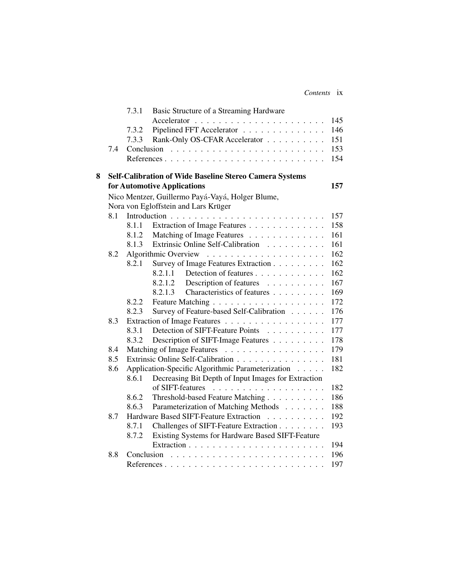| Contents ix |
|-------------|

|   |     | 7.3.1      | Basic Structure of a Streaming Hardware                 |     |
|---|-----|------------|---------------------------------------------------------|-----|
|   |     |            |                                                         | 145 |
|   |     | 7.3.2      | Pipelined FFT Accelerator                               | 146 |
|   |     | 7.3.3      | Rank-Only OS-CFAR Accelerator                           | 151 |
|   | 7.4 | Conclusion |                                                         | 153 |
|   |     |            |                                                         | 154 |
| 8 |     |            | Self-Calibration of Wide Baseline Stereo Camera Systems |     |
|   |     |            | for Automotive Applications                             | 157 |
|   |     |            | Nico Mentzer, Guillermo Payá-Vayá, Holger Blume,        |     |
|   |     |            | Nora von Egloffstein and Lars Krüger                    |     |
|   | 8.1 |            |                                                         | 157 |
|   |     | 8.1.1      | Extraction of Image Features                            | 158 |
|   |     | 8.1.2      | Matching of Image Features                              | 161 |
|   |     | 8.1.3      | Extrinsic Online Self-Calibration                       | 161 |
|   | 8.2 |            |                                                         | 162 |
|   |     | 8.2.1      | Survey of Image Features Extraction                     | 162 |
|   |     |            | 8.2.1.1<br>Detection of features                        | 162 |
|   |     |            | Description of features<br>8.2.1.2                      | 167 |
|   |     |            | Characteristics of features<br>8.2.1.3                  | 169 |
|   |     | 8.2.2      |                                                         | 172 |
|   |     | 8.2.3      | Survey of Feature-based Self-Calibration                | 176 |
|   | 8.3 |            | Extraction of Image Features                            | 177 |
|   |     | 8.3.1      | Detection of SIFT-Feature Points                        | 177 |
|   |     | 8.3.2      | Description of SIFT-Image Features                      | 178 |
|   | 8.4 |            | Matching of Image Features                              | 179 |
|   | 8.5 |            | Extrinsic Online Self-Calibration                       | 181 |
|   | 8.6 |            | Application-Specific Algorithmic Parameterization       | 182 |
|   |     | 8.6.1      | Decreasing Bit Depth of Input Images for Extraction     |     |
|   |     |            |                                                         | 182 |
|   |     | 8.6.2      | Threshold-based Feature Matching                        | 186 |
|   |     | 8.6.3      | Parameterization of Matching Methods                    | 188 |
|   | 8.7 |            | Hardware Based SIFT-Feature Extraction                  | 192 |
|   |     | 8.7.1      | Challenges of SIFT-Feature Extraction                   | 193 |
|   |     | 8.7.2      | Existing Systems for Hardware Based SIFT-Feature        |     |
|   |     |            |                                                         | 194 |
|   | 8.8 |            |                                                         | 196 |
|   |     |            |                                                         | 197 |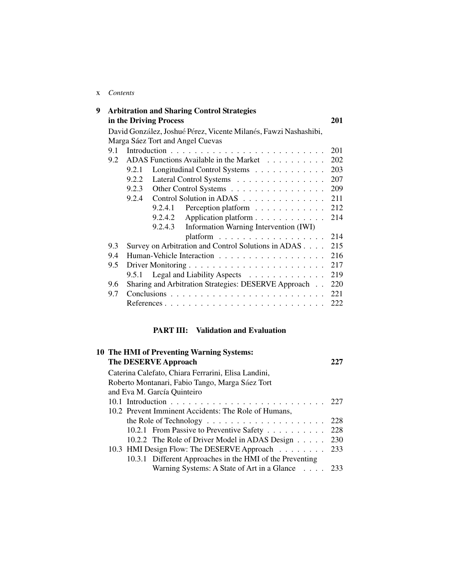#### x *Contents*

| 9 |     | <b>Arbitration and Sharing Control Strategies</b>                |     |
|---|-----|------------------------------------------------------------------|-----|
|   |     | in the Driving Process                                           | 201 |
|   |     | David González, Joshué Pérez, Vicente Milanés, Fawzi Nashashibi, |     |
|   |     | Marga Sáez Tort and Angel Cuevas                                 |     |
|   | 9.1 |                                                                  | 201 |
|   | 9.2 | ADAS Functions Available in the Market                           | 202 |
|   |     | Longitudinal Control Systems<br>9.2.1                            | 203 |
|   |     | Lateral Control Systems<br>9.2.2                                 | 207 |
|   |     | 9.2.3<br>Other Control Systems                                   | 209 |
|   |     | Control Solution in ADAS<br>9.2.4                                | 211 |
|   |     | 9.2.4.1<br>Perception platform                                   | 212 |
|   |     | 9.2.4.2<br>Application platform                                  | 214 |
|   |     | 9.2.4.3<br>Information Warning Intervention (IWI)                |     |
|   |     |                                                                  | 214 |
|   | 9.3 | Survey on Arbitration and Control Solutions in ADAS              | 215 |
|   | 9.4 |                                                                  | 216 |
|   | 9.5 |                                                                  | 217 |
|   |     | Legal and Liability Aspects<br>9.5.1                             | 219 |
|   | 9.6 | Sharing and Arbitration Strategies: DESERVE Approach             | 220 |
|   | 9.7 |                                                                  | 221 |
|   |     |                                                                  | 222 |

## **PART III: Validation and Evaluation**

| <b>10 The HMI of Preventing Warning Systems:</b>         |     |
|----------------------------------------------------------|-----|
| The DESERVE Approach                                     |     |
| Caterina Calefato, Chiara Ferrarini, Elisa Landini,      |     |
| Roberto Montanari, Fabio Tango, Marga Sáez Tort          |     |
| and Eva M. García Quinteiro                              |     |
|                                                          |     |
| 10.2 Prevent Imminent Accidents: The Role of Humans,     |     |
|                                                          | 228 |
| 10.2.1 From Passive to Preventive Safety                 | 228 |
| 10.2.2 The Role of Driver Model in ADAS Design           | 230 |
| 10.3 HMI Design Flow: The DESERVE Approach               | 233 |
| 10.3.1 Different Approaches in the HMI of the Preventing |     |
| Warning Systems: A State of Art in a Glance 233          |     |
|                                                          |     |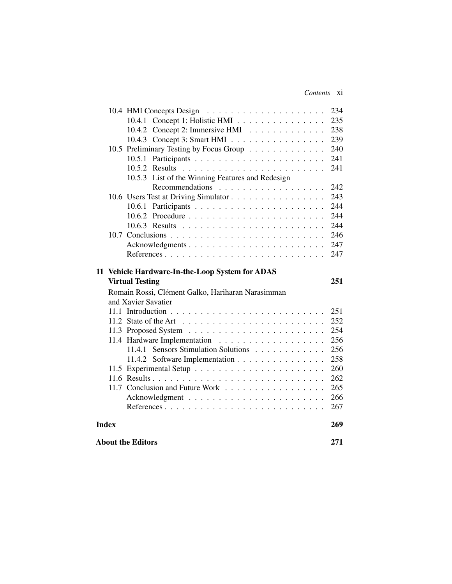#### *Contents* xi

|              |                                                   | 234 |
|--------------|---------------------------------------------------|-----|
|              | 10.4.1 Concept 1: Holistic HMI                    | 235 |
|              | 10.4.2 Concept 2: Immersive HMI                   | 238 |
|              | 10.4.3 Concept 3: Smart HMI                       | 239 |
|              | 10.5 Preliminary Testing by Focus Group           | 240 |
|              | 10.5.1                                            | 241 |
|              |                                                   | 241 |
|              | 10.5.3 List of the Winning Features and Redesign  |     |
|              | Recommendations                                   | 242 |
|              | 10.6 Users Test at Driving Simulator              | 243 |
|              |                                                   | 244 |
|              |                                                   | 244 |
|              |                                                   | 244 |
|              |                                                   | 246 |
|              | Acknowledgments                                   | 247 |
|              |                                                   | 247 |
|              |                                                   |     |
|              | 11 Vehicle Hardware-In-the-Loop System for ADAS   |     |
|              | <b>Virtual Testing</b>                            | 251 |
|              |                                                   |     |
|              | Romain Rossi, Clément Galko, Hariharan Narasimman |     |
|              | and Xavier Savatier                               |     |
|              |                                                   | 251 |
|              |                                                   | 252 |
|              |                                                   | 254 |
|              |                                                   | 256 |
|              | 11.4.1 Sensors Stimulation Solutions              | 256 |
|              | 11.4.2 Software Implementation                    | 258 |
|              |                                                   | 260 |
|              |                                                   | 262 |
|              | 11.7 Conclusion and Future Work                   | 265 |
|              |                                                   | 266 |
|              |                                                   | 267 |
| <b>Index</b> |                                                   | 269 |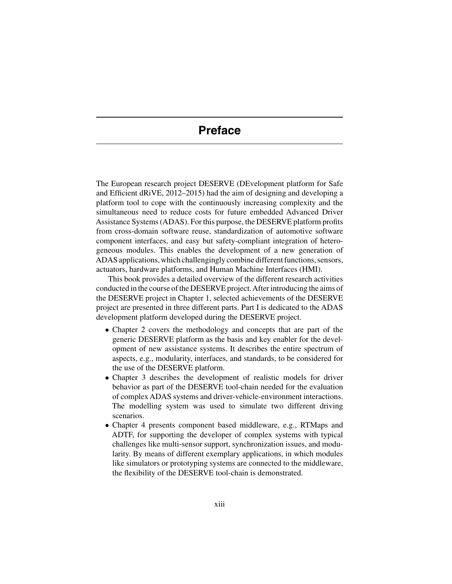# **Preface**

The European research project DESERVE (DEvelopment platform for Safe and Efficient dRiVE, 2012–2015) had the aim of designing and developing a platform tool to cope with the continuously increasing complexity and the simultaneous need to reduce costs for future embedded Advanced Driver Assistance Systems (ADAS). For this purpose, the DESERVE platform profits from cross-domain software reuse, standardization of automotive software component interfaces, and easy but safety-compliant integration of heterogeneous modules. This enables the development of a new generation of ADAS applications, which challengingly combine different functions, sensors, actuators, hardware platforms, and Human Machine Interfaces (HMI).

This book provides a detailed overview of the different research activities conducted in the course of the DESERVE project.After introducing the aims of the DESERVE project in Chapter 1, selected achievements of the DESERVE project are presented in three different parts. Part I is dedicated to the ADAS development platform developed during the DESERVE project.

- Chapter 2 covers the methodology and concepts that are part of the generic DESERVE platform as the basis and key enabler for the development of new assistance systems. It describes the entire spectrum of aspects, e.g., modularity, interfaces, and standards, to be considered for the use of the DESERVE platform.
- Chapter 3 describes the development of realistic models for driver behavior as part of the DESERVE tool-chain needed for the evaluation of complex ADAS systems and driver-vehicle-environment interactions. The modelling system was used to simulate two different driving scenarios.
- Chapter 4 presents component based middleware, e.g., RTMaps and ADTF, for supporting the developer of complex systems with typical challenges like multi-sensor support, synchronization issues, and modularity. By means of different exemplary applications, in which modules like simulators or prototyping systems are connected to the middleware, the flexibility of the DESERVE tool-chain is demonstrated.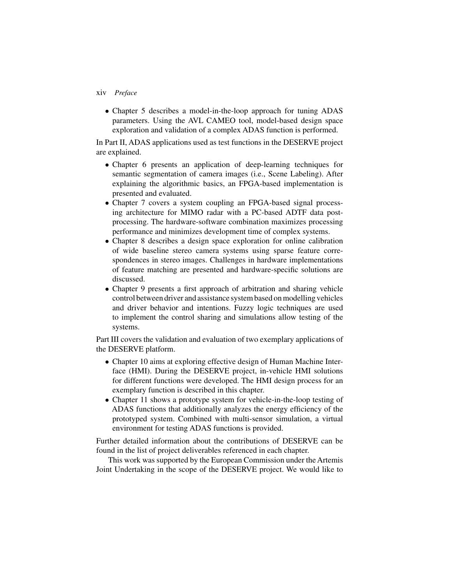#### xiv *Preface*

• Chapter 5 describes a model-in-the-loop approach for tuning ADAS parameters. Using the AVL CAMEO tool, model-based design space exploration and validation of a complex ADAS function is performed.

In Part II, ADAS applications used as test functions in the DESERVE project are explained.

- Chapter 6 presents an application of deep-learning techniques for semantic segmentation of camera images (i.e., Scene Labeling). After explaining the algorithmic basics, an FPGA-based implementation is presented and evaluated.
- Chapter 7 covers a system coupling an FPGA-based signal processing architecture for MIMO radar with a PC-based ADTF data postprocessing. The hardware-software combination maximizes processing performance and minimizes development time of complex systems.
- Chapter 8 describes a design space exploration for online calibration of wide baseline stereo camera systems using sparse feature correspondences in stereo images. Challenges in hardware implementations of feature matching are presented and hardware-specific solutions are discussed.
- Chapter 9 presents a first approach of arbitration and sharing vehicle control between driver and assistance system based on modelling vehicles and driver behavior and intentions. Fuzzy logic techniques are used to implement the control sharing and simulations allow testing of the systems.

Part III covers the validation and evaluation of two exemplary applications of the DESERVE platform.

- Chapter 10 aims at exploring effective design of Human Machine Interface (HMI). During the DESERVE project, in-vehicle HMI solutions for different functions were developed. The HMI design process for an exemplary function is described in this chapter.
- Chapter 11 shows a prototype system for vehicle-in-the-loop testing of ADAS functions that additionally analyzes the energy efficiency of the prototyped system. Combined with multi-sensor simulation, a virtual environment for testing ADAS functions is provided.

Further detailed information about the contributions of DESERVE can be found in the list of project deliverables referenced in each chapter.

This work was supported by the European Commission under the Artemis Joint Undertaking in the scope of the DESERVE project. We would like to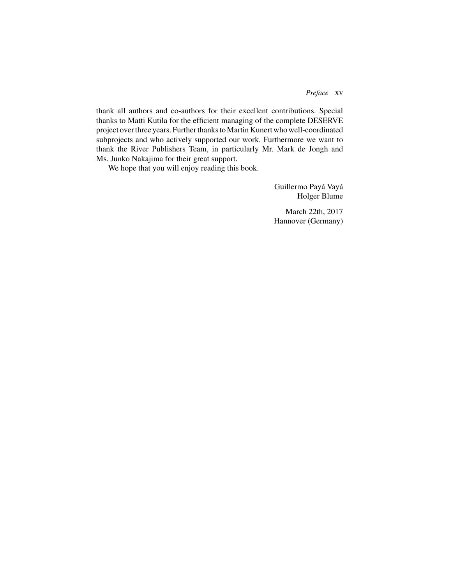#### *Preface* xv

thank all authors and co-authors for their excellent contributions. Special thanks to Matti Kutila for the efficient managing of the complete DESERVE project over three years. Further thanks to Martin Kunert who well-coordinated subprojects and who actively supported our work. Furthermore we want to thank the River Publishers Team, in particularly Mr. Mark de Jongh and Ms. Junko Nakajima for their great support.

We hope that you will enjoy reading this book.

Guillermo Payá Vayá Holger Blume

March 22th, 2017 Hannover (Germany)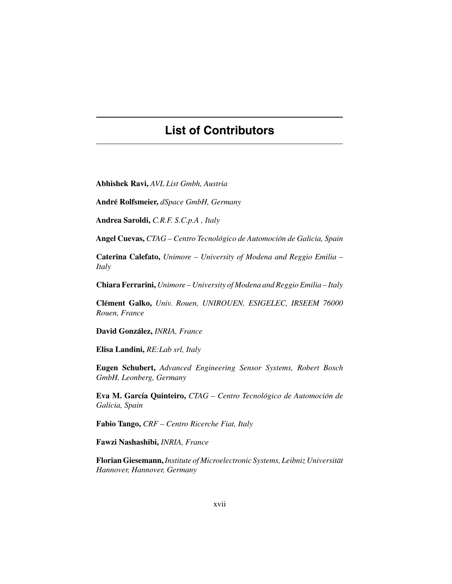# **List of Contributors**

**Abhishek Ravi,** *AVL List Gmbh, Austria*

**Andre Rolfsmeier, ´** *dSpace GmbH, Germany*

**Andrea Saroldi,** *C.R.F. S.C.p.A , Italy*

**Angel Cuevas,** *CTAG – Centro Tecnologico de Automoci ´ on de Galicia, Spain ´*

**Caterina Calefato,** *Unimore – University of Modena and Reggio Emilia – Italy*

**Chiara Ferrarini,** *Unimore – University of Modena and Reggio Emilia – Italy*

**Clement Galko, ´** *Univ. Rouen, UNIROUEN, ESIGELEC, IRSEEM 76000 Rouen, France*

**David Gonzalez, ´** *INRIA, France*

**Elisa Landini,** *RE:Lab srl, Italy*

**Eugen Schubert,** *Advanced Engineering Sensor Systems, Robert Bosch GmbH, Leonberg, Germany*

**Eva M. García Quinteiro,** *CTAG – Centro Tecnológico de Automoción de Galicia, Spain*

**Fabio Tango,** *CRF – Centro Ricerche Fiat, Italy*

**Fawzi Nashashibi,** *INRIA, France*

**Florian Giesemann,** *Institute of Microelectronic Systems, Leibniz Universitat¨ Hannover, Hannover, Germany*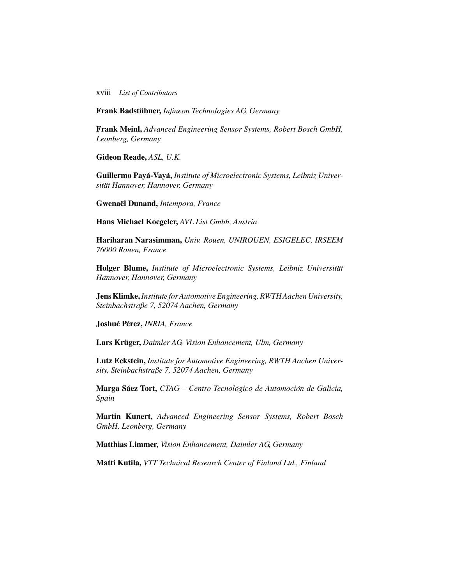xviii *List of Contributors*

**Frank Badstubner, ¨** *Infineon Technologies AG, Germany*

**Frank Meinl,** *Advanced Engineering Sensor Systems, Robert Bosch GmbH, Leonberg, Germany*

**Gideon Reade,** *ASL, U.K.*

Guillermo Payá-Vayá, Institute of Microelectronic Systems, Leibniz Univer*sitat Hannover, Hannover, Germany ¨*

**Gwenael Dunand, ¨** *Intempora, France*

**Hans Michael Koegeler,** *AVL List Gmbh, Austria*

**Hariharan Narasimman,** *Univ. Rouen, UNIROUEN, ESIGELEC, IRSEEM 76000 Rouen, France*

Holger Blume, *Institute of Microelectronic Systems, Leibniz Universität Hannover, Hannover, Germany*

**Jens Klimke,***Institute forAutomotive Engineering, RWTHAachen University, Steinbachstraße 7, 52074 Aachen, Germany*

**Joshue P´ erez, ´** *INRIA, France*

**Lars Krüger, Daimler AG, Vision Enhancement, Ulm, Germany** 

**Lutz Eckstein,** *Institute for Automotive Engineering, RWTH Aachen University, Steinbachstraße 7, 52074 Aachen, Germany*

**Marga Sáez Tort,** *CTAG – Centro Tecnológico de Automoción de Galicia, Spain*

**Martin Kunert,** *Advanced Engineering Sensor Systems, Robert Bosch GmbH, Leonberg, Germany*

**Matthias Limmer,** *Vision Enhancement, Daimler AG, Germany*

**Matti Kutila,** *VTT Technical Research Center of Finland Ltd., Finland*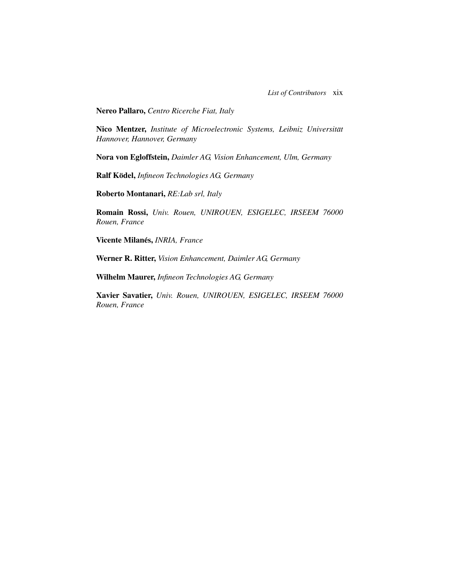**Nereo Pallaro,** *Centro Ricerche Fiat, Italy*

Nico Mentzer, *Institute of Microelectronic Systems, Leibniz Universität Hannover, Hannover, Germany*

**Nora von Egloffstein,** *Daimler AG, Vision Enhancement, Ulm, Germany*

**Ralf Kodel, ¨** *Infineon Technologies AG, Germany*

**Roberto Montanari,** *RE:Lab srl, Italy*

**Romain Rossi,** *Univ. Rouen, UNIROUEN, ESIGELEC, IRSEEM 76000 Rouen, France*

**Vicente Milanes, ´** *INRIA, France*

**Werner R. Ritter,** *Vision Enhancement, Daimler AG, Germany*

**Wilhelm Maurer,** *Infineon Technologies AG, Germany*

**Xavier Savatier,** *Univ. Rouen, UNIROUEN, ESIGELEC, IRSEEM 76000 Rouen, France*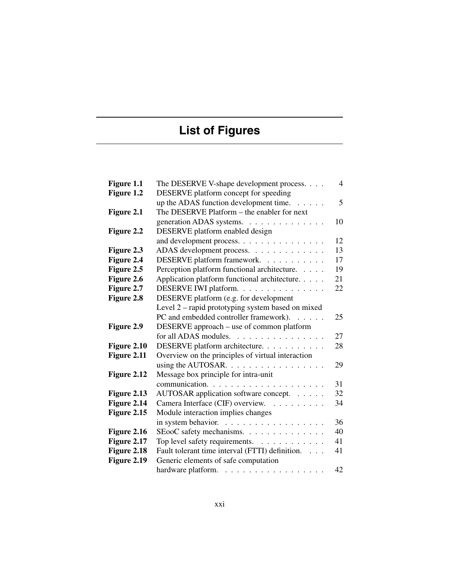# **List of Figures**

| Figure 1.1  | The DESERVE V-shape development process.                 | $\overline{4}$ |
|-------------|----------------------------------------------------------|----------------|
| Figure 1.2  | DESERVE platform concept for speeding                    |                |
|             | up the ADAS function development time.                   | 5              |
| Figure 2.1  | The DESERVE Platform – the enabler for next              |                |
|             | generation ADAS systems.                                 | 10             |
| Figure 2.2  | DESERVE platform enabled design                          |                |
|             | and development process.                                 | 12             |
| Figure 2.3  | ADAS development process.                                | 13             |
| Figure 2.4  | DESERVE platform framework.                              | 17             |
| Figure 2.5  | Perception platform functional architecture.             | 19             |
| Figure 2.6  | Application platform functional architecture.            | 21             |
| Figure 2.7  | DESERVE IWI platform.                                    | 22             |
| Figure 2.8  | DESERVE platform (e.g. for development                   |                |
|             | Level 2 – rapid prototyping system based on mixed        |                |
|             | PC and embedded controller framework).                   | 25             |
| Figure 2.9  | DESERVE approach - use of common platform                |                |
|             | for all ADAS modules.                                    | 27             |
| Figure 2.10 | DESERVE platform architecture.                           | 28             |
| Figure 2.11 | Overview on the principles of virtual interaction        |                |
|             | using the AUTOSAR. $\dots \dots \dots \dots \dots \dots$ | 29             |
| Figure 2.12 | Message box principle for intra-unit                     |                |
|             |                                                          | 31             |
| Figure 2.13 | AUTOSAR application software concept.                    | 32             |
| Figure 2.14 | Camera Interface (CIF) overview.                         | 34             |
| Figure 2.15 | Module interaction implies changes                       |                |
|             |                                                          | 36             |
| Figure 2.16 | SEooC safety mechanisms.                                 | 40             |
| Figure 2.17 | Top level safety requirements.                           | 41             |
| Figure 2.18 | Fault tolerant time interval (FTTI) definition.          | 41             |
| Figure 2.19 | Generic elements of safe computation                     |                |
|             | hardware platform.                                       | 42             |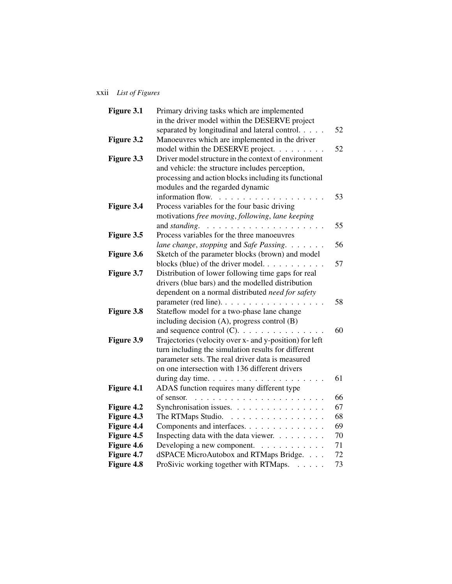## xxii *List of Figures*

| Figure 3.1 | Primary driving tasks which are implemented             |    |
|------------|---------------------------------------------------------|----|
|            | in the driver model within the DESERVE project          |    |
|            | separated by longitudinal and lateral control.          | 52 |
| Figure 3.2 | Manoeuvres which are implemented in the driver          |    |
|            | model within the DESERVE project.                       | 52 |
| Figure 3.3 | Driver model structure in the context of environment    |    |
|            | and vehicle: the structure includes perception,         |    |
|            | processing and action blocks including its functional   |    |
|            | modules and the regarded dynamic                        |    |
|            | information flow.<br>.                                  | 53 |
| Figure 3.4 | Process variables for the four basic driving            |    |
|            | motivations free moving, following, lane keeping        |    |
|            | and standing.<br>.                                      | 55 |
| Figure 3.5 | Process variables for the three manoeuvres              |    |
|            | lane change, stopping and Safe Passing.                 | 56 |
| Figure 3.6 | Sketch of the parameter blocks (brown) and model        |    |
|            | blocks (blue) of the driver model.                      | 57 |
| Figure 3.7 | Distribution of lower following time gaps for real      |    |
|            | drivers (blue bars) and the modelled distribution       |    |
|            | dependent on a normal distributed need for safety       |    |
|            | parameter (red line).                                   | 58 |
| Figure 3.8 | Stateflow model for a two-phase lane change             |    |
|            | including decision (A), progress control (B)            |    |
|            |                                                         | 60 |
| Figure 3.9 | Trajectories (velocity over x- and y-position) for left |    |
|            | turn including the simulation results for different     |    |
|            | parameter sets. The real driver data is measured        |    |
|            | on one intersection with 136 different drivers          |    |
|            |                                                         | 61 |
| Figure 4.1 | ADAS function requires many different type              |    |
|            | of sensor.                                              | 66 |
| Figure 4.2 | Synchronisation issues.                                 | 67 |
| Figure 4.3 | The RTMaps Studio.                                      | 68 |
| Figure 4.4 | Components and interfaces.                              | 69 |
| Figure 4.5 | Inspecting data with the data viewer.                   | 70 |
| Figure 4.6 | Developing a new component.                             | 71 |
| Figure 4.7 | dSPACE MicroAutobox and RTMaps Bridge.                  | 72 |
| Figure 4.8 | ProSivic working together with RTMaps.                  | 73 |
|            |                                                         |    |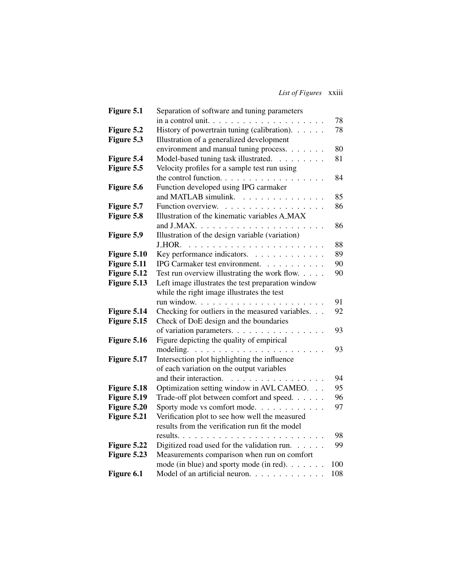*List of Figures* xxiii

| Figure 5.1  | Separation of software and tuning parameters       |     |
|-------------|----------------------------------------------------|-----|
|             | in a control unit. $\ldots$                        | 78  |
| Figure 5.2  | History of powertrain tuning (calibration).        | 78  |
| Figure 5.3  | Illustration of a generalized development          |     |
|             | environment and manual tuning process.             | 80  |
| Figure 5.4  | Model-based tuning task illustrated.               | 81  |
| Figure 5.5  | Velocity profiles for a sample test run using      |     |
|             | the control function.                              | 84  |
| Figure 5.6  | Function developed using IPG carmaker              |     |
|             | and MATLAB simulink.                               | 85  |
| Figure 5.7  | Function overview.                                 | 86  |
| Figure 5.8  | Illustration of the kinematic variables A_MAX      |     |
|             |                                                    | 86  |
| Figure 5.9  | Illustration of the design variable (variation)    |     |
|             |                                                    | 88  |
| Figure 5.10 | Key performance indicators.                        | 89  |
| Figure 5.11 | IPG Carmaker test environment.                     | 90  |
| Figure 5.12 | Test run overview illustrating the work flow.      | 90  |
| Figure 5.13 | Left image illustrates the test preparation window |     |
|             | while the right image illustrates the test         |     |
|             |                                                    | 91  |
| Figure 5.14 | Checking for outliers in the measured variables.   | 92  |
| Figure 5.15 | Check of DoE design and the boundaries             |     |
|             | of variation parameters.<br>.                      | 93  |
| Figure 5.16 | Figure depicting the quality of empirical          |     |
|             | modeling. $\ldots$                                 | 93  |
| Figure 5.17 | Intersection plot highlighting the influence       |     |
|             | of each variation on the output variables          |     |
|             | and their interaction.                             | 94  |
| Figure 5.18 | Optimization setting window in AVL CAMEO.          | 95  |
| Figure 5.19 | Trade-off plot between comfort and speed.          | 96  |
| Figure 5.20 | Sporty mode vs comfort mode.                       | 97  |
| Figure 5.21 | Verification plot to see how well the measured     |     |
|             | results from the verification run fit the model    |     |
|             |                                                    | 98  |
| Figure 5.22 | Digitized road used for the validation run.        | 99  |
| Figure 5.23 | Measurements comparison when run on comfort        |     |
|             | mode (in blue) and sporty mode (in red).           | 100 |
| Figure 6.1  | Model of an artificial neuron.                     | 108 |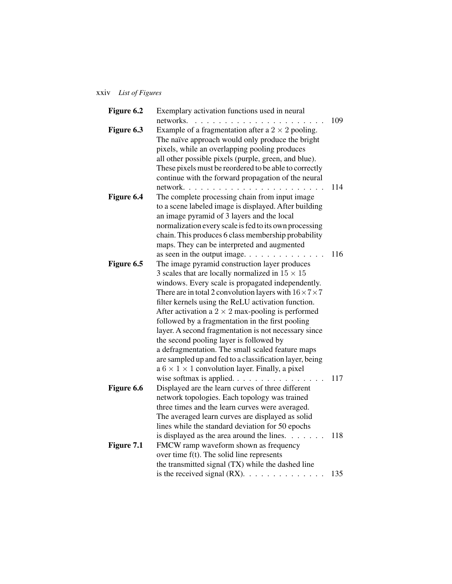### xxiv *List of Figures*

| Figure 6.2 | Exemplary activation functions used in neural                       |     |
|------------|---------------------------------------------------------------------|-----|
|            | networks.                                                           | 109 |
| Figure 6.3 | Example of a fragmentation after a $2 \times 2$ pooling.            |     |
|            | The naïve approach would only produce the bright                    |     |
|            | pixels, while an overlapping pooling produces                       |     |
|            | all other possible pixels (purple, green, and blue).                |     |
|            | These pixels must be reordered to be able to correctly              |     |
|            | continue with the forward propagation of the neural                 |     |
|            | network                                                             | 114 |
| Figure 6.4 | The complete processing chain from input image                      |     |
|            | to a scene labeled image is displayed. After building               |     |
|            | an image pyramid of 3 layers and the local                          |     |
|            | normalization every scale is fed to its own processing              |     |
|            | chain. This produces 6 class membership probability                 |     |
|            | maps. They can be interpreted and augmented                         |     |
|            | as seen in the output image. $\ldots$<br>$\cdots$                   | 116 |
| Figure 6.5 | The image pyramid construction layer produces                       |     |
|            | 3 scales that are locally normalized in $15 \times 15$              |     |
|            | windows. Every scale is propagated independently.                   |     |
|            | There are in total 2 convolution layers with $16 \times 7 \times 7$ |     |
|            | filter kernels using the ReLU activation function.                  |     |
|            | After activation a $2 \times 2$ max-pooling is performed            |     |
|            | followed by a fragmentation in the first pooling                    |     |
|            | layer. A second fragmentation is not necessary since                |     |
|            | the second pooling layer is followed by                             |     |
|            | a defragmentation. The small scaled feature maps                    |     |
|            | are sampled up and fed to a classification layer, being             |     |
|            | a $6 \times 1 \times 1$ convolution layer. Finally, a pixel         |     |
|            |                                                                     | 117 |
| Figure 6.6 | Displayed are the learn curves of three different                   |     |
|            | network topologies. Each topology was trained                       |     |
|            | three times and the learn curves were averaged.                     |     |
|            | The averaged learn curves are displayed as solid                    |     |
|            | lines while the standard deviation for 50 epochs                    |     |
|            | is displayed as the area around the lines. $\dots \dots$            | 118 |
| Figure 7.1 | FMCW ramp waveform shown as frequency                               |     |
|            | over time f(t). The solid line represents                           |     |
|            | the transmitted signal (TX) while the dashed line                   |     |
|            | is the received signal $(RX)$ .                                     | 135 |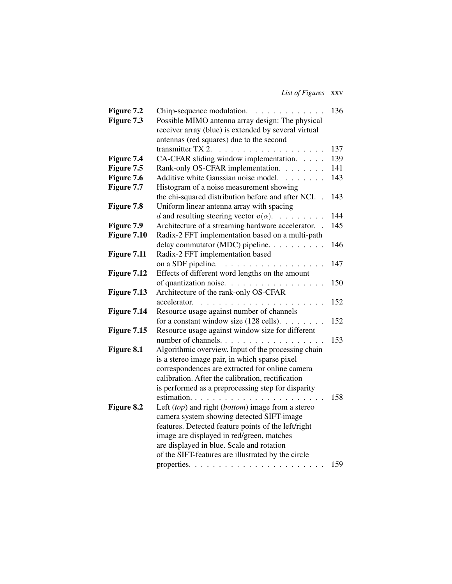*List of Figures* xxv

| Figure 7.2  | Chirp-sequence modulation.                           | 136 |
|-------------|------------------------------------------------------|-----|
| Figure 7.3  | Possible MIMO antenna array design: The physical     |     |
|             | receiver array (blue) is extended by several virtual |     |
|             | antennas (red squares) due to the second             |     |
|             | transmitter TX 2.<br>.                               | 137 |
| Figure 7.4  | CA-CFAR sliding window implementation.               | 139 |
| Figure 7.5  | Rank-only OS-CFAR implementation.                    | 141 |
| Figure 7.6  | Additive white Gaussian noise model.                 | 143 |
| Figure 7.7  | Histogram of a noise measurement showing             |     |
|             | the chi-squared distribution before and after NCI.   | 143 |
| Figure 7.8  | Uniform linear antenna array with spacing            |     |
|             | d and resulting steering vector $v(\alpha)$ .        | 144 |
| Figure 7.9  | Architecture of a streaming hardware accelerator. .  | 145 |
| Figure 7.10 | Radix-2 FFT implementation based on a multi-path     |     |
|             | delay commutator (MDC) pipeline.                     | 146 |
| Figure 7.11 | Radix-2 FFT implementation based                     |     |
|             | on a SDF pipeline.                                   | 147 |
| Figure 7.12 | Effects of different word lengths on the amount      |     |
|             | of quantization noise.                               | 150 |
| Figure 7.13 | Architecture of the rank-only OS-CFAR                |     |
|             | accelerator.                                         | 152 |
| Figure 7.14 | Resource usage against number of channels            |     |
|             | for a constant window size $(128 \text{ cells})$ .   | 152 |
| Figure 7.15 | Resource usage against window size for different     |     |
|             | number of channels.                                  | 153 |
| Figure 8.1  | Algorithmic overview. Input of the processing chain  |     |
|             | is a stereo image pair, in which sparse pixel        |     |
|             | correspondences are extracted for online camera      |     |
|             | calibration. After the calibration, rectification    |     |
|             | is performed as a preprocessing step for disparity   |     |
|             |                                                      | 158 |
| Figure 8.2  | Left (top) and right (bottom) image from a stereo    |     |
|             | camera system showing detected SIFT-image            |     |
|             | features. Detected feature points of the left/right  |     |
|             | image are displayed in red/green, matches            |     |
|             | are displayed in blue. Scale and rotation            |     |
|             | of the SIFT-features are illustrated by the circle   |     |
|             |                                                      | 159 |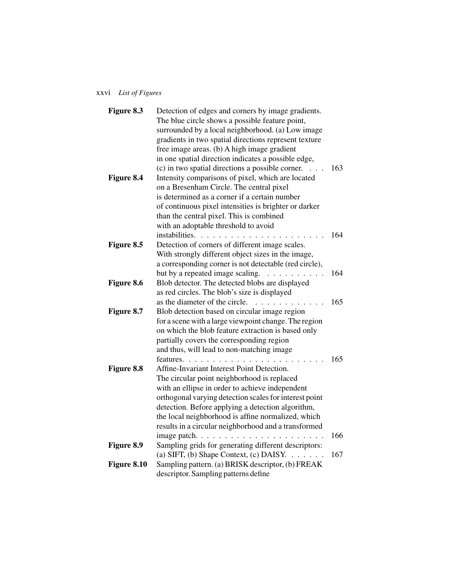## xxvi *List of Figures*

| Figure 8.3  | Detection of edges and corners by image gradients.                                    |     |
|-------------|---------------------------------------------------------------------------------------|-----|
|             | The blue circle shows a possible feature point,                                       |     |
|             | surrounded by a local neighborhood. (a) Low image                                     |     |
|             | gradients in two spatial directions represent texture                                 |     |
|             | free image areas. (b) A high image gradient                                           |     |
|             | in one spatial direction indicates a possible edge,                                   |     |
|             | (c) in two spatial directions a possible corner.<br>$\cdots$                          | 163 |
| Figure 8.4  | Intensity comparisons of pixel, which are located                                     |     |
|             | on a Bresenham Circle. The central pixel                                              |     |
|             | is determined as a corner if a certain number                                         |     |
|             | of continuous pixel intensities is brighter or darker                                 |     |
|             | than the central pixel. This is combined                                              |     |
|             | with an adoptable threshold to avoid                                                  |     |
|             | instabilities.                                                                        | 164 |
| Figure 8.5  | Detection of corners of different image scales.                                       |     |
|             | With strongly different object sizes in the image,                                    |     |
|             | a corresponding corner is not detectable (red circle),                                |     |
|             | but by a repeated image scaling.<br>.                                                 | 164 |
| Figure 8.6  | Blob detector. The detected blobs are displayed                                       |     |
|             | as red circles. The blob's size is displayed                                          |     |
|             | as the diameter of the circle.                                                        | 165 |
| Figure 8.7  | Blob detection based on circular image region                                         |     |
|             | for a scene with a large viewpoint change. The region                                 |     |
|             | on which the blob feature extraction is based only                                    |     |
|             | partially covers the corresponding region                                             |     |
|             | and thus, will lead to non-matching image                                             |     |
|             | features. $\ldots$ $\ldots$ $\ldots$ $\ldots$ $\ldots$ $\ldots$                       | 165 |
| Figure 8.8  | Affine-Invariant Interest Point Detection.                                            |     |
|             | The circular point neighborhood is replaced                                           |     |
|             | with an ellipse in order to achieve independent                                       |     |
|             | orthogonal varying detection scales for interest point                                |     |
|             | detection. Before applying a detection algorithm,                                     |     |
|             | the local neighborhood is affine normalized, which                                    |     |
|             | results in a circular neighborhood and a transformed                                  |     |
|             | image patch. $\ldots$<br>1.1.1.1                                                      | 166 |
| Figure 8.9  | Sampling grids for generating different descriptors:                                  |     |
|             | (a) SIFT, (b) Shape Context, (c) DAISY.<br>$\mathbb{R}^d$ . The set of $\mathbb{R}^d$ | 167 |
| Figure 8.10 | Sampling pattern. (a) BRISK descriptor, (b) FREAK                                     |     |
|             | descriptor. Sampling patterns define                                                  |     |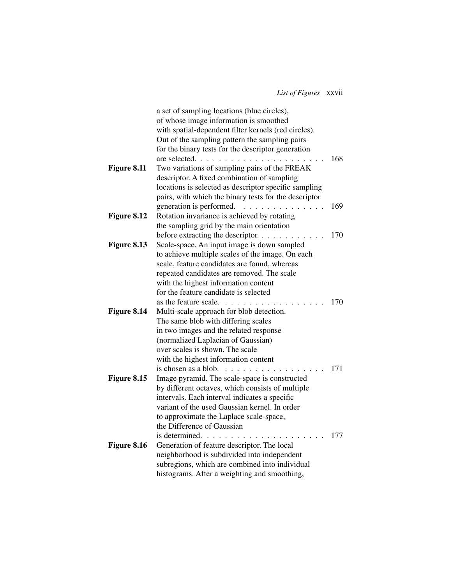*List of Figures* xxvii

|             | a set of sampling locations (blue circles),                                                       |     |
|-------------|---------------------------------------------------------------------------------------------------|-----|
|             | of whose image information is smoothed                                                            |     |
|             | with spatial-dependent filter kernels (red circles).                                              |     |
|             | Out of the sampling pattern the sampling pairs                                                    |     |
|             | for the binary tests for the descriptor generation                                                |     |
|             | are selected                                                                                      | 168 |
| Figure 8.11 | Two variations of sampling pairs of the FREAK                                                     |     |
|             | descriptor. A fixed combination of sampling                                                       |     |
|             | locations is selected as descriptor specific sampling                                             |     |
|             | pairs, with which the binary tests for the descriptor                                             |     |
|             | generation is performed.<br>$\mathcal{L}^{\mathcal{A}}$ . The set of the set of the $\mathcal{A}$ | 169 |
| Figure 8.12 | Rotation invariance is achieved by rotating                                                       |     |
|             | the sampling grid by the main orientation                                                         |     |
|             | before extracting the descriptor.                                                                 | 170 |
| Figure 8.13 | Scale-space. An input image is down sampled                                                       |     |
|             | to achieve multiple scales of the image. On each                                                  |     |
|             | scale, feature candidates are found, whereas                                                      |     |
|             | repeated candidates are removed. The scale                                                        |     |
|             | with the highest information content                                                              |     |
|             | for the feature candidate is selected                                                             |     |
|             | as the feature scale                                                                              | 170 |
| Figure 8.14 | Multi-scale approach for blob detection.                                                          |     |
|             | The same blob with differing scales                                                               |     |
|             | in two images and the related response                                                            |     |
|             | (normalized Laplacian of Gaussian)                                                                |     |
|             | over scales is shown. The scale                                                                   |     |
|             | with the highest information content                                                              |     |
|             | is chosen as a blob.                                                                              | 171 |
| Figure 8.15 | Image pyramid. The scale-space is constructed                                                     |     |
|             | by different octaves, which consists of multiple                                                  |     |
|             | intervals. Each interval indicates a specific                                                     |     |
|             | variant of the used Gaussian kernel. In order                                                     |     |
|             | to approximate the Laplace scale-space,                                                           |     |
|             | the Difference of Gaussian                                                                        |     |
|             | is determined.                                                                                    | 177 |
| Figure 8.16 | Generation of feature descriptor. The local                                                       |     |
|             | neighborhood is subdivided into independent                                                       |     |
|             | subregions, which are combined into individual                                                    |     |
|             | histograms. After a weighting and smoothing,                                                      |     |
|             |                                                                                                   |     |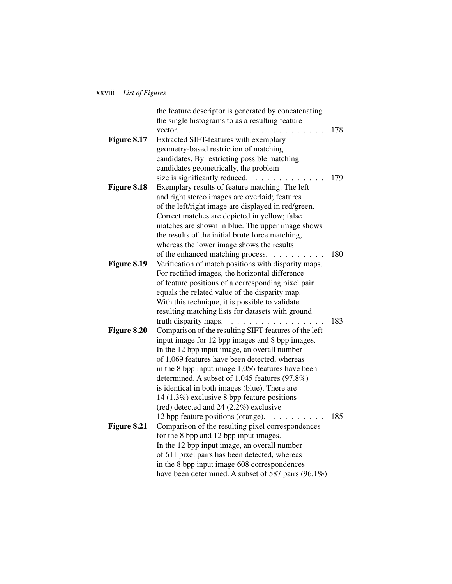### xxviii *List of Figures*

|             | the feature descriptor is generated by concatenating                                                                    |     |
|-------------|-------------------------------------------------------------------------------------------------------------------------|-----|
|             | the single histograms to as a resulting feature                                                                         |     |
|             | vector. $\ldots$<br>$\cdots$                                                                                            | 178 |
| Figure 8.17 | Extracted SIFT-features with exemplary                                                                                  |     |
|             | geometry-based restriction of matching                                                                                  |     |
|             | candidates. By restricting possible matching                                                                            |     |
|             | candidates geometrically, the problem                                                                                   |     |
|             | size is significantly reduced.                                                                                          | 179 |
| Figure 8.18 | Exemplary results of feature matching. The left                                                                         |     |
|             | and right stereo images are overlaid; features                                                                          |     |
|             | of the left/right image are displayed in red/green.                                                                     |     |
|             | Correct matches are depicted in yellow; false                                                                           |     |
|             | matches are shown in blue. The upper image shows                                                                        |     |
|             | the results of the initial brute force matching,                                                                        |     |
|             | whereas the lower image shows the results                                                                               |     |
|             | of the enhanced matching process.                                                                                       | 180 |
| Figure 8.19 | Verification of match positions with disparity maps.                                                                    |     |
|             | For rectified images, the horizontal difference                                                                         |     |
|             | of feature positions of a corresponding pixel pair                                                                      |     |
|             | equals the related value of the disparity map.                                                                          |     |
|             | With this technique, it is possible to validate                                                                         |     |
|             | resulting matching lists for datasets with ground                                                                       |     |
|             | truth disparity maps.<br>.                                                                                              | 183 |
| Figure 8.20 | Comparison of the resulting SIFT-features of the left                                                                   |     |
|             | input image for 12 bpp images and 8 bpp images.                                                                         |     |
|             | In the 12 bpp input image, an overall number                                                                            |     |
|             | of 1,069 features have been detected, whereas                                                                           |     |
|             | in the 8 bpp input image 1,056 features have been                                                                       |     |
|             | determined. A subset of 1,045 features (97.8%)                                                                          |     |
|             | is identical in both images (blue). There are                                                                           |     |
|             | 14 (1.3%) exclusive 8 bpp feature positions                                                                             |     |
|             | (red) detected and 24 $(2.2\%)$ exclusive                                                                               |     |
|             | 12 bpp feature positions (orange).<br>$\begin{array}{cccccccccccccc} . & . & . & . & . & . & . & . & . & . \end{array}$ | 185 |
| Figure 8.21 | Comparison of the resulting pixel correspondences                                                                       |     |
|             | for the 8 bpp and 12 bpp input images.                                                                                  |     |
|             | In the 12 bpp input image, an overall number                                                                            |     |
|             | of 611 pixel pairs has been detected, whereas                                                                           |     |
|             | in the 8 bpp input image 608 correspondences                                                                            |     |
|             | have been determined. A subset of 587 pairs (96.1%)                                                                     |     |
|             |                                                                                                                         |     |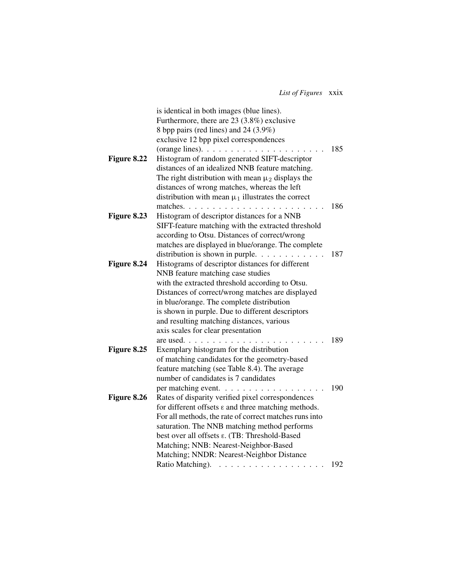*List of Figures* xxix

|             | is identical in both images (blue lines).                       |     |
|-------------|-----------------------------------------------------------------|-----|
|             | Furthermore, there are 23 (3.8%) exclusive                      |     |
|             | 8 bpp pairs (red lines) and 24 (3.9%)                           |     |
|             | exclusive 12 bpp pixel correspondences                          |     |
|             | (orange lines). $\ldots$                                        | 185 |
| Figure 8.22 | Histogram of random generated SIFT-descriptor                   |     |
|             | distances of an idealized NNB feature matching.                 |     |
|             | The right distribution with mean $\mu_2$ displays the           |     |
|             | distances of wrong matches, whereas the left                    |     |
|             | distribution with mean $\mu_1$ illustrates the correct          |     |
|             | matches. $\ldots$ $\ldots$ $\ldots$                             | 186 |
| Figure 8.23 | Histogram of descriptor distances for a NNB                     |     |
|             | SIFT-feature matching with the extracted threshold              |     |
|             | according to Otsu. Distances of correct/wrong                   |     |
|             | matches are displayed in blue/orange. The complete              |     |
|             | distribution is shown in purple.                                | 187 |
| Figure 8.24 | Histograms of descriptor distances for different                |     |
|             | NNB feature matching case studies                               |     |
|             | with the extracted threshold according to Otsu.                 |     |
|             | Distances of correct/wrong matches are displayed                |     |
|             | in blue/orange. The complete distribution                       |     |
|             | is shown in purple. Due to different descriptors                |     |
|             | and resulting matching distances, various                       |     |
|             | axis scales for clear presentation                              |     |
|             | are used<br>$\mathbf{1}$<br>$\sim$ $\sim$ $\sim$ $\sim$         | 189 |
| Figure 8.25 | Exemplary histogram for the distribution                        |     |
|             | of matching candidates for the geometry-based                   |     |
|             | feature matching (see Table 8.4). The average                   |     |
|             | number of candidates is 7 candidates                            |     |
|             | per matching event.                                             | 190 |
| Figure 8.26 | Rates of disparity verified pixel correspondences               |     |
|             | for different offsets $\varepsilon$ and three matching methods. |     |
|             | For all methods, the rate of correct matches runs into          |     |
|             | saturation. The NNB matching method performs                    |     |
|             | best over all offsets $\varepsilon$ . (TB: Threshold-Based      |     |
|             | Matching; NNB: Nearest-Neighbor-Based                           |     |
|             | Matching; NNDR: Nearest-Neighbor Distance                       |     |
|             | Ratio Matching).                                                | 192 |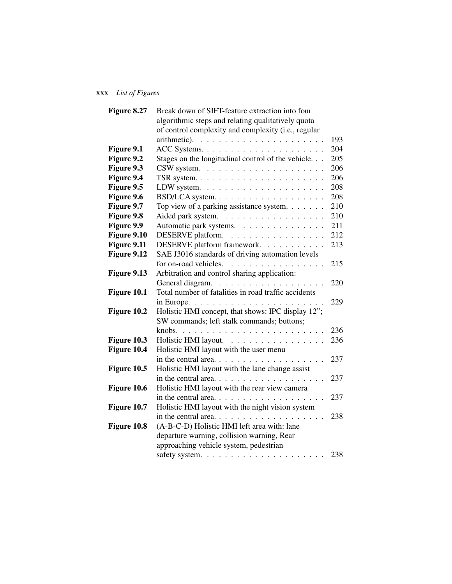## xxx *List of Figures*

| Break down of SIFT-feature extraction into four      |                                                                                                                                                                                                                                                                                                                                                       |
|------------------------------------------------------|-------------------------------------------------------------------------------------------------------------------------------------------------------------------------------------------------------------------------------------------------------------------------------------------------------------------------------------------------------|
| algorithmic steps and relating qualitatively quota   |                                                                                                                                                                                                                                                                                                                                                       |
| of control complexity and complexity (i.e., regular  |                                                                                                                                                                                                                                                                                                                                                       |
|                                                      | 193                                                                                                                                                                                                                                                                                                                                                   |
|                                                      | 204                                                                                                                                                                                                                                                                                                                                                   |
| Stages on the longitudinal control of the vehicle.   | 205                                                                                                                                                                                                                                                                                                                                                   |
|                                                      | 206                                                                                                                                                                                                                                                                                                                                                   |
|                                                      | 206                                                                                                                                                                                                                                                                                                                                                   |
|                                                      | 208                                                                                                                                                                                                                                                                                                                                                   |
|                                                      | 208                                                                                                                                                                                                                                                                                                                                                   |
|                                                      | 210                                                                                                                                                                                                                                                                                                                                                   |
|                                                      | 210                                                                                                                                                                                                                                                                                                                                                   |
|                                                      | 211                                                                                                                                                                                                                                                                                                                                                   |
|                                                      | 212                                                                                                                                                                                                                                                                                                                                                   |
|                                                      | 213                                                                                                                                                                                                                                                                                                                                                   |
|                                                      |                                                                                                                                                                                                                                                                                                                                                       |
| for on-road vehicles.<br>.                           | 215                                                                                                                                                                                                                                                                                                                                                   |
| Arbitration and control sharing application:         |                                                                                                                                                                                                                                                                                                                                                       |
|                                                      | 220                                                                                                                                                                                                                                                                                                                                                   |
| Total number of fatalities in road traffic accidents |                                                                                                                                                                                                                                                                                                                                                       |
|                                                      | 229                                                                                                                                                                                                                                                                                                                                                   |
| Holistic HMI concept, that shows: IPC display 12";   |                                                                                                                                                                                                                                                                                                                                                       |
|                                                      |                                                                                                                                                                                                                                                                                                                                                       |
|                                                      | 236                                                                                                                                                                                                                                                                                                                                                   |
|                                                      | 236                                                                                                                                                                                                                                                                                                                                                   |
| Holistic HMI layout with the user menu               |                                                                                                                                                                                                                                                                                                                                                       |
| in the central area. $\ldots$                        | 237                                                                                                                                                                                                                                                                                                                                                   |
| Holistic HMI layout with the lane change assist      |                                                                                                                                                                                                                                                                                                                                                       |
|                                                      | 237                                                                                                                                                                                                                                                                                                                                                   |
| Holistic HMI layout with the rear view camera        |                                                                                                                                                                                                                                                                                                                                                       |
|                                                      | 237                                                                                                                                                                                                                                                                                                                                                   |
| Holistic HMI layout with the night vision system     |                                                                                                                                                                                                                                                                                                                                                       |
|                                                      | 238                                                                                                                                                                                                                                                                                                                                                   |
| (A-B-C-D) Holistic HMI left area with: lane          |                                                                                                                                                                                                                                                                                                                                                       |
| departure warning, collision warning, Rear           |                                                                                                                                                                                                                                                                                                                                                       |
| approaching vehicle system, pedestrian               |                                                                                                                                                                                                                                                                                                                                                       |
|                                                      | 238                                                                                                                                                                                                                                                                                                                                                   |
|                                                      | Top view of a parking assistance system.<br>Aided park system.<br>Automatic park systems.<br>DESERVE platform.<br>DESERVE platform framework.<br>SAE J3016 standards of driving automation levels<br>General diagram.<br>in Europe. $\ldots \ldots \ldots \ldots \ldots \ldots$<br>SW commands; left stalk commands; buttons;<br>Holistic HMI layout. |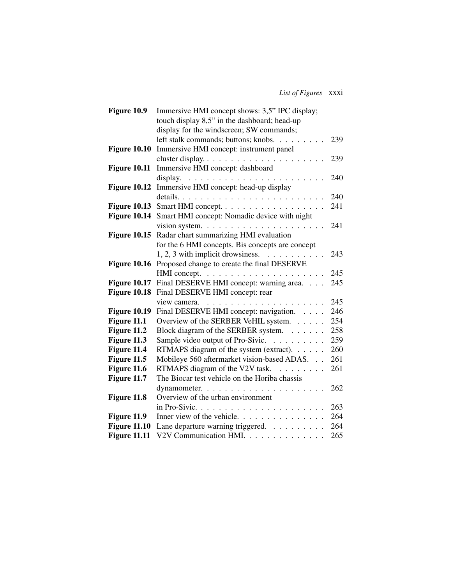| Figure 10.9         | Immersive HMI concept shows: 3,5" IPC display;             |     |
|---------------------|------------------------------------------------------------|-----|
|                     | touch display 8,5" in the dashboard; head-up               |     |
|                     | display for the windscreen; SW commands;                   |     |
|                     | left stalk commands; buttons; knobs.                       | 239 |
| Figure 10.10        | Immersive HMI concept: instrument panel                    |     |
|                     | cluster display                                            | 239 |
| <b>Figure 10.11</b> | Immersive HMI concept: dashboard                           |     |
|                     |                                                            | 240 |
| <b>Figure 10.12</b> | Immersive HMI concept: head-up display                     |     |
|                     |                                                            | 240 |
| <b>Figure 10.13</b> | Smart HMI concept.                                         | 241 |
| Figure 10.14        | Smart HMI concept: Nomadic device with night               |     |
|                     | vision system. $\ldots \ldots \ldots \ldots \ldots \ldots$ | 241 |
| <b>Figure 10.15</b> | Radar chart summarizing HMI evaluation                     |     |
|                     | for the 6 HMI concepts. Bis concepts are concept           |     |
|                     | $1, 2, 3$ with implicit drowsiness.                        | 243 |
| Figure 10.16        | Proposed change to create the final DESERVE                |     |
|                     |                                                            | 245 |
| <b>Figure 10.17</b> | Final DESERVE HMI concept: warning area.                   | 245 |
| Figure 10.18        | Final DESERVE HMI concept: rear                            |     |
|                     |                                                            | 245 |
| Figure 10.19        | Final DESERVE HMI concept: navigation.                     | 246 |
| Figure 11.1         | Overview of the SERBER VeHIL system.                       | 254 |
| Figure 11.2         | Block diagram of the SERBER system.                        | 258 |
| Figure 11.3         | Sample video output of Pro-Sivic.                          | 259 |
| Figure 11.4         | RTMAPS diagram of the system (extract).                    | 260 |
| Figure 11.5         | Mobileye 560 aftermarket vision-based ADAS.                | 261 |
| Figure 11.6         | RTMAPS diagram of the V2V task.                            | 261 |
| Figure 11.7         | The Biocar test vehicle on the Horiba chassis              |     |
|                     |                                                            | 262 |
| Figure 11.8         | Overview of the urban environment                          |     |
|                     |                                                            | 263 |
| Figure 11.9         | Inner view of the vehicle. $\ldots$ ,                      | 264 |
| <b>Figure 11.10</b> | Lane departure warning triggered.                          | 264 |
| <b>Figure 11.11</b> | V2V Communication HMI.                                     | 265 |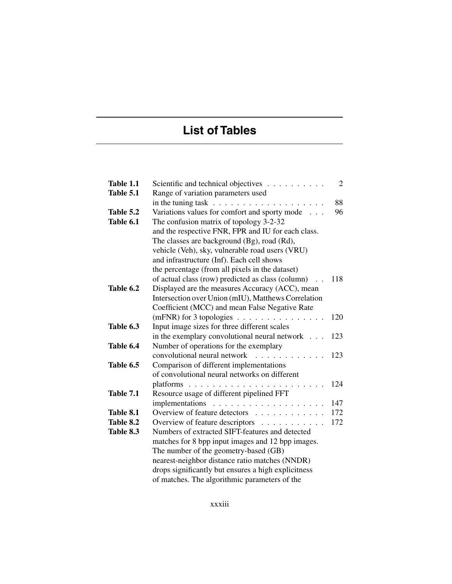# **List of Tables**

| Table 1.1 | Scientific and technical objectives                            | $\overline{2}$ |
|-----------|----------------------------------------------------------------|----------------|
| Table 5.1 | Range of variation parameters used                             |                |
|           | in the tuning task $\ldots \ldots \ldots \ldots \ldots \ldots$ | 88             |
| Table 5.2 | Variations values for comfort and sporty mode                  | 96             |
| Table 6.1 | The confusion matrix of topology 3-2-32                        |                |
|           | and the respective FNR, FPR and IU for each class.             |                |
|           | The classes are background (Bg), road (Rd),                    |                |
|           | vehicle (Veh), sky, vulnerable road users (VRU)                |                |
|           | and infrastructure (Inf). Each cell shows                      |                |
|           | the percentage (from all pixels in the dataset)                |                |
|           | of actual class (row) predicted as class (column)              | 118            |
| Table 6.2 | Displayed are the measures Accuracy (ACC), mean                |                |
|           | Intersection over Union (mIU), Matthews Correlation            |                |
|           | Coefficient (MCC) and mean False Negative Rate                 |                |
|           | (mFNR) for 3 topologies $\ldots$ ,                             | 120            |
| Table 6.3 | Input image sizes for three different scales                   |                |
|           | in the exemplary convolutional neural network $\ldots$         | 123            |
| Table 6.4 | Number of operations for the exemplary                         |                |
|           | convolutional neural network<br>.                              | 123            |
| Table 6.5 | Comparison of different implementations                        |                |
|           | of convolutional neural networks on different                  |                |
|           |                                                                | 124            |
| Table 7.1 | Resource usage of different pipelined FFT                      |                |
|           |                                                                | 147            |
| Table 8.1 | Overview of feature detectors                                  | 172            |
| Table 8.2 | Overview of feature descriptors                                | 172            |
| Table 8.3 | Numbers of extracted SIFT-features and detected                |                |
|           | matches for 8 bpp input images and 12 bpp images.              |                |
|           | The number of the geometry-based (GB)                          |                |
|           | nearest-neighbor distance ratio matches (NNDR)                 |                |
|           | drops significantly but ensures a high explicitness            |                |
|           | of matches. The algorithmic parameters of the                  |                |

xxxiii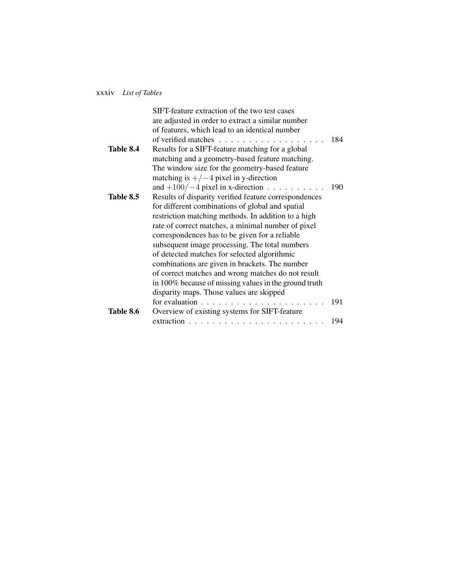### xxxiv *List of Tables*

|           | SIFT-feature extraction of the two test cases                     |     |
|-----------|-------------------------------------------------------------------|-----|
|           | are adjusted in order to extract a similar number                 |     |
|           | of features, which lead to an identical number                    |     |
|           | of verified matches $\ldots$ , $\ldots$                           | 184 |
| Table 8.4 | Results for a SIFT-feature matching for a global                  |     |
|           | matching and a geometry-based feature matching.                   |     |
|           | The window size for the geometry-based feature                    |     |
|           | matching is $+/-4$ pixel in y-direction                           |     |
|           | and $+100/-4$ pixel in x-direction                                | 190 |
| Table 8.5 | Results of disparity verified feature correspondences             |     |
|           | for different combinations of global and spatial                  |     |
|           | restriction matching methods. In addition to a high               |     |
|           | rate of correct matches, a minimal number of pixel                |     |
|           | correspondences has to be given for a reliable                    |     |
|           | subsequent image processing. The total numbers                    |     |
|           | of detected matches for selected algorithmic                      |     |
|           | combinations are given in brackets. The number                    |     |
|           | of correct matches and wrong matches do not result                |     |
|           | in 100% because of missing values in the ground truth             |     |
|           | disparity maps. Those values are skipped                          |     |
|           | for evaluation $\ldots \ldots \ldots \ldots \ldots \ldots \ldots$ | 191 |
| Table 8.6 | Overview of existing systems for SIFT-feature                     |     |
|           |                                                                   | 194 |
|           |                                                                   |     |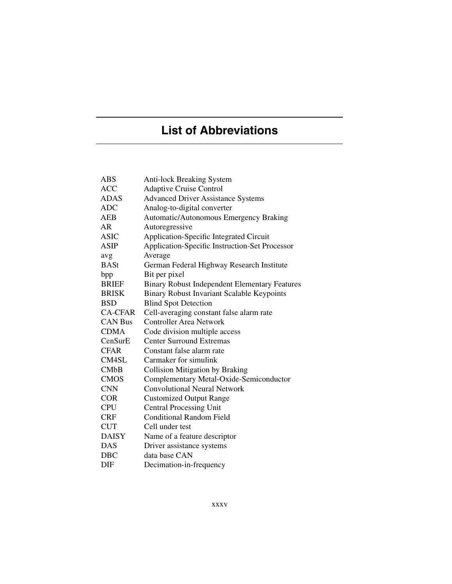# **List of Abbreviations**

| ABS            | <b>Anti-lock Breaking System</b>                     |
|----------------|------------------------------------------------------|
| <b>ACC</b>     | <b>Adaptive Cruise Control</b>                       |
| <b>ADAS</b>    | <b>Advanced Driver Assistance Systems</b>            |
| <b>ADC</b>     | Analog-to-digital converter                          |
| <b>AEB</b>     | <b>Automatic/Autonomous Emergency Braking</b>        |
| AR             | Autoregressive                                       |
| <b>ASIC</b>    | <b>Application-Specific Integrated Circuit</b>       |
| <b>ASIP</b>    | Application-Specific Instruction-Set Processor       |
| avg            | Average                                              |
| <b>BASt</b>    | German Federal Highway Research Institute            |
| bpp            | Bit per pixel                                        |
| <b>BRIEF</b>   | <b>Binary Robust Independent Elementary Features</b> |
| <b>BRISK</b>   | <b>Binary Robust Invariant Scalable Keypoints</b>    |
| <b>BSD</b>     | <b>Blind Spot Detection</b>                          |
| <b>CA-CFAR</b> | Cell-averaging constant false alarm rate             |
| <b>CAN Bus</b> | <b>Controller Area Network</b>                       |
| <b>CDMA</b>    | Code division multiple access                        |
| CenSurE        | <b>Center Surround Extremas</b>                      |
| <b>CFAR</b>    | Constant false alarm rate                            |
| CM4SL          | Carmaker for simulink                                |
| CMbB           | <b>Collision Mitigation by Braking</b>               |
| <b>CMOS</b>    | Complementary Metal-Oxide-Semiconductor              |
| <b>CNN</b>     | <b>Convolutional Neural Network</b>                  |
| <b>COR</b>     | <b>Customized Output Range</b>                       |
| <b>CPU</b>     | <b>Central Processing Unit</b>                       |
| <b>CRF</b>     | <b>Conditional Random Field</b>                      |
| <b>CUT</b>     | Cell under test                                      |
| <b>DAISY</b>   | Name of a feature descriptor                         |
| <b>DAS</b>     | Driver assistance systems                            |
| <b>DBC</b>     | data base CAN                                        |
| DIF            | Decimation-in-frequency                              |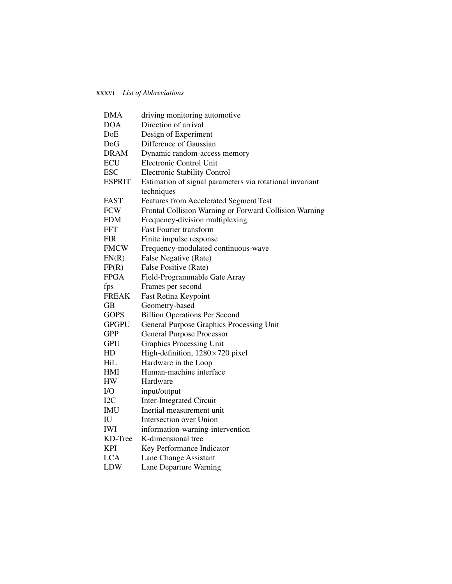| <b>DMA</b>                 | driving monitoring automotive                            |
|----------------------------|----------------------------------------------------------|
| <b>DOA</b>                 | Direction of arrival                                     |
| DoE                        | Design of Experiment                                     |
| DoG                        | Difference of Gaussian                                   |
| <b>DRAM</b>                | Dynamic random-access memory                             |
| <b>ECU</b>                 | <b>Electronic Control Unit</b>                           |
| <b>ESC</b>                 | <b>Electronic Stability Control</b>                      |
| <b>ESPRIT</b>              | Estimation of signal parameters via rotational invariant |
|                            | techniques                                               |
| <b>FAST</b>                | Features from Accelerated Segment Test                   |
| <b>FCW</b>                 | Frontal Collision Warning or Forward Collision Warning   |
| <b>FDM</b>                 | Frequency-division multiplexing                          |
| <b>FFT</b>                 | <b>Fast Fourier transform</b>                            |
| <b>FIR</b>                 | Finite impulse response                                  |
| <b>FMCW</b>                | Frequency-modulated continuous-wave                      |
| FN(R)                      | False Negative (Rate)                                    |
| FP(R)                      | False Positive (Rate)                                    |
| <b>FPGA</b>                | Field-Programmable Gate Array                            |
| fps                        | Frames per second                                        |
| <b>FREAK</b>               | Fast Retina Keypoint                                     |
| <b>GB</b>                  | Geometry-based                                           |
| <b>GOPS</b>                | <b>Billion Operations Per Second</b>                     |
| <b>GPGPU</b>               | General Purpose Graphics Processing Unit                 |
| <b>GPP</b>                 | <b>General Purpose Processor</b>                         |
| <b>GPU</b>                 | <b>Graphics Processing Unit</b>                          |
| HD                         | High-definition, 1280×720 pixel                          |
| HiL                        | Hardware in the Loop                                     |
| HMI                        | Human-machine interface                                  |
| HW                         | Hardware                                                 |
| I/O                        | input/output                                             |
| I2C                        | <b>Inter-Integrated Circuit</b>                          |
| <b>IMU</b>                 | Inertial measurement unit                                |
| $\mathop{\rm IU}\nolimits$ | Intersection over Union                                  |
| <b>IWI</b>                 | information-warning-intervention                         |
| KD-Tree                    | K-dimensional tree                                       |
| KPI                        | Key Performance Indicator                                |
| <b>LCA</b>                 | Lane Change Assistant                                    |
| <b>LDW</b>                 | Lane Departure Warning                                   |
|                            |                                                          |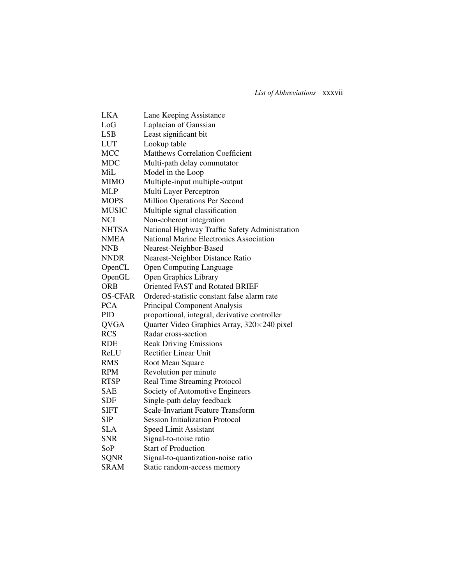| <b>LKA</b>     | Lane Keeping Assistance                        |
|----------------|------------------------------------------------|
| LoG            | Laplacian of Gaussian                          |
| <b>LSB</b>     | Least significant bit                          |
| <b>LUT</b>     | Lookup table                                   |
| <b>MCC</b>     | <b>Matthews Correlation Coefficient</b>        |
| <b>MDC</b>     | Multi-path delay commutator                    |
| MiL            | Model in the Loop                              |
| <b>MIMO</b>    | Multiple-input multiple-output                 |
| <b>MLP</b>     | Multi Layer Perceptron                         |
| <b>MOPS</b>    | <b>Million Operations Per Second</b>           |
| <b>MUSIC</b>   | Multiple signal classification                 |
| <b>NCI</b>     | Non-coherent integration                       |
| <b>NHTSA</b>   | National Highway Traffic Safety Administration |
| <b>NMEA</b>    | <b>National Marine Electronics Association</b> |
| <b>NNB</b>     | Nearest-Neighbor-Based                         |
| <b>NNDR</b>    | Nearest-Neighbor Distance Ratio                |
| OpenCL         | <b>Open Computing Language</b>                 |
| OpenGL         | <b>Open Graphics Library</b>                   |
| <b>ORB</b>     | <b>Oriented FAST and Rotated BRIEF</b>         |
| <b>OS-CFAR</b> | Ordered-statistic constant false alarm rate    |
| <b>PCA</b>     | Principal Component Analysis                   |
| PID            | proportional, integral, derivative controller  |
| <b>QVGA</b>    | Quarter Video Graphics Array, 320×240 pixel    |
| <b>RCS</b>     | Radar cross-section                            |
| <b>RDE</b>     | <b>Reak Driving Emissions</b>                  |
| ReLU           | <b>Rectifier Linear Unit</b>                   |
| <b>RMS</b>     | Root Mean Square                               |
| <b>RPM</b>     | Revolution per minute                          |
| <b>RTSP</b>    | Real Time Streaming Protocol                   |
| <b>SAE</b>     | Society of Automotive Engineers                |
| SDF            | Single-path delay feedback                     |
| SIFT           | <b>Scale-Invariant Feature Transform</b>       |
| SIP            | <b>Session Initialization Protocol</b>         |
| <b>SLA</b>     | <b>Speed Limit Assistant</b>                   |
| SNR            | Signal-to-noise ratio                          |
| SoP            | <b>Start of Production</b>                     |
| <b>SQNR</b>    | Signal-to-quantization-noise ratio             |
| SRAM           | Static random-access memory                    |
|                |                                                |